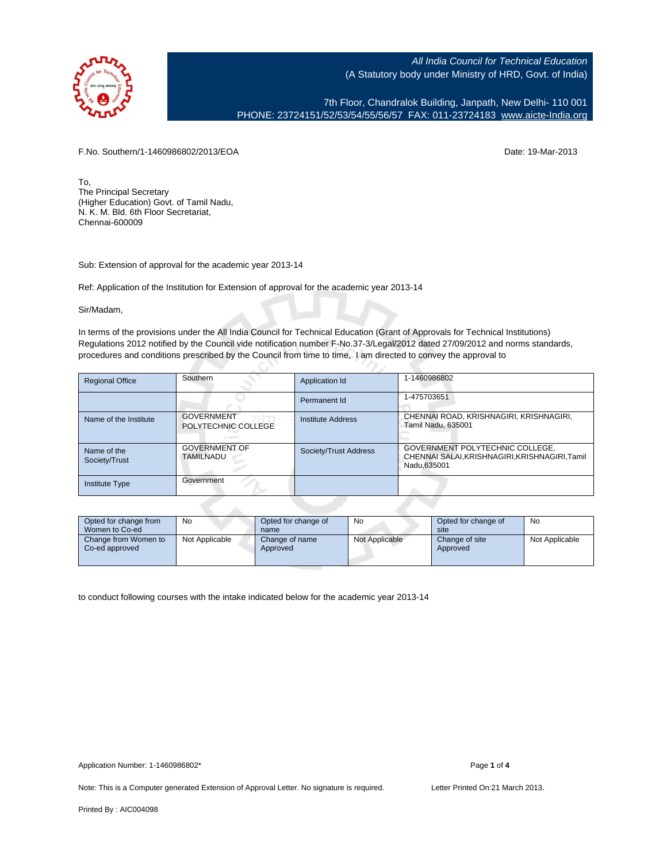

7th Floor, Chandralok Building, Janpath, New Delhi- 110 001 PHONE: 23724151/52/53/54/55/56/57 FAX: 011-23724183 [www.aicte-India.org](http://www.aicte-India.org)

F.No. Southern/1-1460986802/2013/EOA Date: 19-Mar-2013

To, The Principal Secretary (Higher Education) Govt. of Tamil Nadu, N. K. M. Bld. 6th Floor Secretariat, Chennai-600009

Sub: Extension of approval for the academic year 2013-14

Ref: Application of the Institution for Extension of approval for the academic year 2013-14

C.

Sir/Madam,

In terms of the provisions under the All India Council for Technical Education (Grant of Approvals for Technical Institutions) Regulations 2012 notified by the Council vide notification number F-No.37-3/Legal/2012 dated 27/09/2012 and norms standards, procedures and conditions prescribed by the Council from time to time, I am directed to convey the approval to

| <b>Regional Office</b>       | Southern                                 | Application Id        | 1-1460986802                                                                                     |
|------------------------------|------------------------------------------|-----------------------|--------------------------------------------------------------------------------------------------|
|                              |                                          | Permanent Id          | 1-475703651                                                                                      |
| Name of the Institute        | <b>GOVERNMENT</b><br>POLYTECHNIC COLLEGE | Institute Address     | CHENNAI ROAD, KRISHNAGIRI, KRISHNAGIRI,<br>Tamil Nadu, 635001                                    |
| Name of the<br>Society/Trust | <b>GOVERNMENT OF</b><br><b>TAMILNADU</b> | Society/Trust Address | GOVERNMENT POLYTECHNIC COLLEGE,<br>CHENNAI SALAI, KRISHNAGIRI, KRISHNAGIRI, Tamil<br>Nadu.635001 |
| <b>Institute Type</b>        | Government                               |                       |                                                                                                  |

| Opted for change from<br>Women to Co-ed | <b>No</b>      | Opted for change of<br>name | No             | Opted for change of<br>site | No             |
|-----------------------------------------|----------------|-----------------------------|----------------|-----------------------------|----------------|
| Change from Women to<br>Co-ed approved  | Not Applicable | Change of name<br>Approved  | Not Applicable | Change of site<br>Approved  | Not Applicable |

to conduct following courses with the intake indicated below for the academic year 2013-14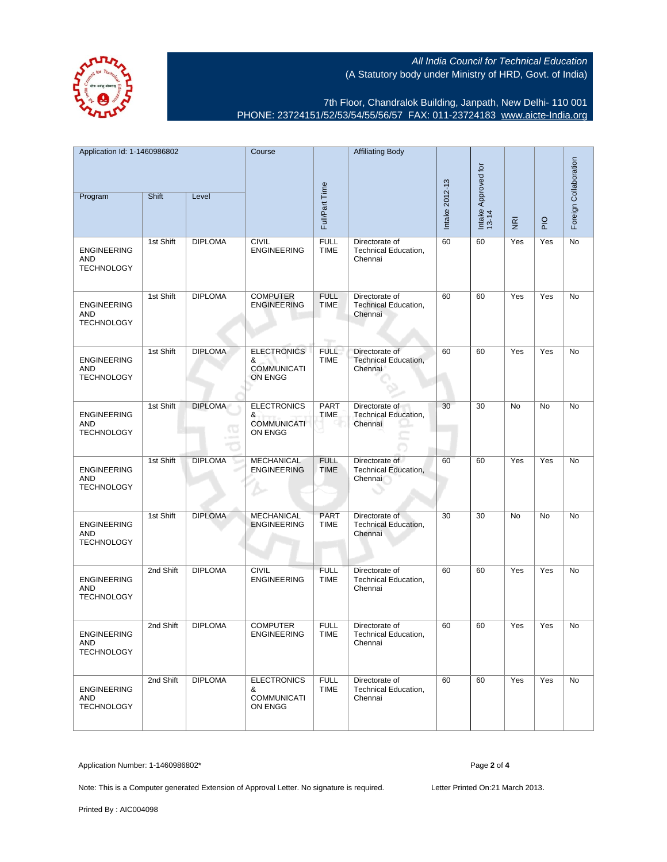

7th Floor, Chandralok Building, Janpath, New Delhi- 110 001 PHONE: 23724151/52/53/54/55/56/57 FAX: 011-23724183 [www.aicte-India.org](http://www.aicte-India.org)

| Application Id: 1-1460986802<br>Shift<br>Program<br>Level |           | Course<br>Full/Part Time |                                                          | <b>Affiliating Body</b>                    | Intake 2012-13                                           | Intake Approved for<br>13-14 |    |                                     | Foreign Collaboration |    |
|-----------------------------------------------------------|-----------|--------------------------|----------------------------------------------------------|--------------------------------------------|----------------------------------------------------------|------------------------------|----|-------------------------------------|-----------------------|----|
|                                                           |           |                          |                                                          |                                            |                                                          |                              |    | $\overline{\underline{\mathbf{g}}}$ | $\frac{1}{2}$         |    |
| <b>ENGINEERING</b><br>AND<br><b>TECHNOLOGY</b>            | 1st Shift | <b>DIPLOMA</b>           | <b>CIVIL</b><br><b>ENGINEERING</b>                       | <b>FULL</b><br><b>TIME</b>                 | Directorate of<br>Technical Education,<br>Chennai        | 60                           | 60 | Yes                                 | Yes                   | No |
| <b>ENGINEERING</b><br>AND<br><b>TECHNOLOGY</b>            | 1st Shift | <b>DIPLOMA</b>           | <b>COMPUTER</b><br><b>ENGINEERING</b>                    | <b>FULL</b><br><b>TIME</b><br><b>Tarry</b> | Directorate of<br>Technical Education,<br>Chennai        | 60                           | 60 | Yes                                 | Yes                   | No |
| <b>ENGINEERING</b><br>AND<br><b>TECHNOLOGY</b>            | 1st Shift | <b>DIPLOMA</b>           | <b>ELECTRONICS</b><br>&<br><b>COMMUNICATI</b><br>ON ENGG | <b>FULL</b><br><b>TIME</b>                 | Directorate of<br><b>Technical Education,</b><br>Chennai | 60                           | 60 | Yes                                 | Yes                   | No |
| <b>ENGINEERING</b><br>AND<br><b>TECHNOLOGY</b>            | 1st Shift | <b>DIPLOMA</b>           | <b>ELECTRONICS</b><br>&<br><b>COMMUNICATI</b><br>ON ENGG | <b>PART</b><br>TIME                        | Directorate of<br>Technical Education,<br>Chennai        | 30                           | 30 | No                                  | No                    | No |
| <b>ENGINEERING</b><br><b>AND</b><br><b>TECHNOLOGY</b>     | 1st Shift | <b>DIPLOMA</b>           | <b>MECHANICAL</b><br><b>ENGINEERING</b>                  | <b>FULL</b><br>TIME                        | Directorate of<br>Technical Education,<br>Chennai        | 60                           | 60 | Yes                                 | Yes                   | No |
| <b>ENGINEERING</b><br>AND<br><b>TECHNOLOGY</b>            | 1st Shift | <b>DIPLOMA</b>           | <b>MECHANICAL</b><br><b>ENGINEERING</b>                  | <b>PART</b><br><b>TIME</b>                 | Directorate of<br>Technical Education,<br>Chennai        | 30                           | 30 | No                                  | No                    | No |
| <b>ENGINEERING</b><br>AND<br><b>TECHNOLOGY</b>            | 2nd Shift | <b>DIPLOMA</b>           | <b>CIVIL</b><br><b>ENGINEERING</b>                       | <b>FULL</b><br><b>TIME</b>                 | Directorate of<br>Technical Education,<br>Chennai        | 60                           | 60 | Yes                                 | Yes                   | No |
| <b>ENGINEERING</b><br>AND<br><b>TECHNOLOGY</b>            | 2nd Shift | <b>DIPLOMA</b>           | <b>COMPUTER</b><br><b>ENGINEERING</b>                    | <b>FULL</b><br><b>TIME</b>                 | Directorate of<br>Technical Education,<br>Chennai        | 60                           | 60 | Yes                                 | Yes                   | No |
| <b>ENGINEERING</b><br>AND<br><b>TECHNOLOGY</b>            | 2nd Shift | <b>DIPLOMA</b>           | <b>ELECTRONICS</b><br>&<br><b>COMMUNICATI</b><br>ON ENGG | <b>FULL</b><br><b>TIME</b>                 | Directorate of<br>Technical Education,<br>Chennai        | 60                           | 60 | Yes                                 | Yes                   | No |

Application Number: 1-1460986802\* Page **2** of **4**

Note: This is a Computer generated Extension of Approval Letter. No signature is required. Letter Printed On:21 March 2013.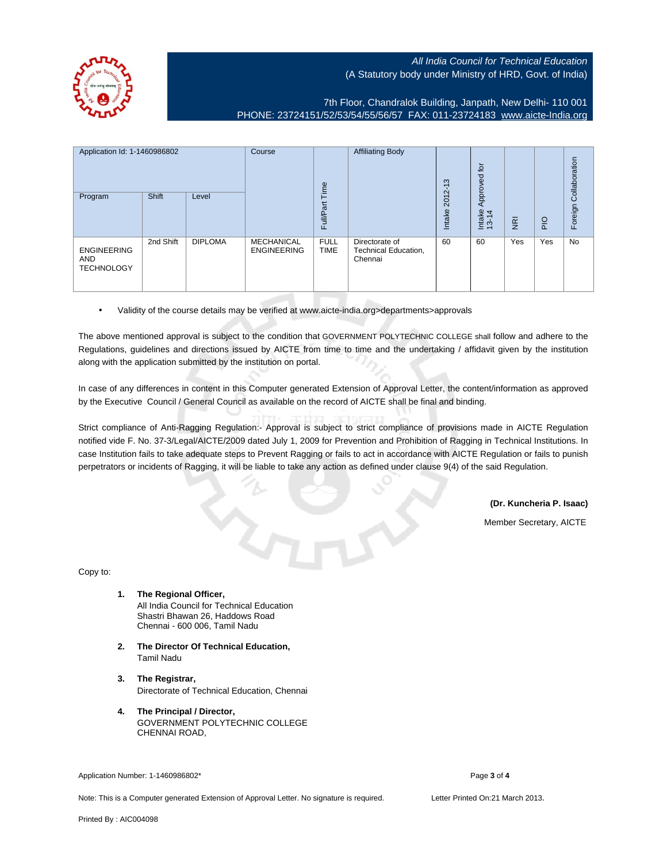

7th Floor, Chandralok Building, Janpath, New Delhi- 110 001 PHONE: 23724151/52/53/54/55/56/57 FAX: 011-23724183 [www.aicte-India.org](http://www.aicte-India.org)

| Application Id: 1-1460986802                          |           | Course<br>Time | <b>Affiliating Body</b>                 | $\infty$<br>$\overline{ }$ | <b>b</b><br>Approved                              |                 |                 |                     |             |                       |
|-------------------------------------------------------|-----------|----------------|-----------------------------------------|----------------------------|---------------------------------------------------|-----------------|-----------------|---------------------|-------------|-----------------------|
| Program                                               | Shift     | Level          |                                         | Full/Part                  |                                                   | 2012-<br>Intake | Intake<br>13-14 | –<br>$\overline{g}$ | $rac{O}{n}$ | Foreign Collaboration |
| <b>ENGINEERING</b><br><b>AND</b><br><b>TECHNOLOGY</b> | 2nd Shift | <b>DIPLOMA</b> | <b>MECHANICAL</b><br><b>ENGINEERING</b> | <b>FULL</b><br><b>TIME</b> | Directorate of<br>Technical Education,<br>Chennai | 60              | 60              | Yes                 | Yes         | No                    |

• Validity of the course details may be verified at www.aicte-india.org>departments>approvals

The above mentioned approval is subject to the condition that GOVERNMENT POLYTECHNIC COLLEGE shall follow and adhere to the Regulations, guidelines and directions issued by AICTE from time to time and the undertaking / affidavit given by the institution along with the application submitted by the institution on portal.

In case of any differences in content in this Computer generated Extension of Approval Letter, the content/information as approved by the Executive Council / General Council as available on the record of AICTE shall be final and binding.

Strict compliance of Anti-Ragging Regulation:- Approval is subject to strict compliance of provisions made in AICTE Regulation notified vide F. No. 37-3/Legal/AICTE/2009 dated July 1, 2009 for Prevention and Prohibition of Ragging in Technical Institutions. In case Institution fails to take adequate steps to Prevent Ragging or fails to act in accordance with AICTE Regulation or fails to punish perpetrators or incidents of Ragging, it will be liable to take any action as defined under clause 9(4) of the said Regulation.

**(Dr. Kuncheria P. Isaac)**

Member Secretary, AICTE

Copy to:

- **1. The Regional Officer,** All India Council for Technical Education Shastri Bhawan 26, Haddows Road Chennai - 600 006, Tamil Nadu
- **2. The Director Of Technical Education,** Tamil Nadu
- **3. The Registrar,** Directorate of Technical Education, Chennai
- **4. The Principal / Director,** GOVERNMENT POLYTECHNIC COLLEGE CHENNAI ROAD,

Application Number: 1-1460986802\* Page **3** of **4**

Note: This is a Computer generated Extension of Approval Letter. No signature is required. Letter Printed On:21 March 2013.